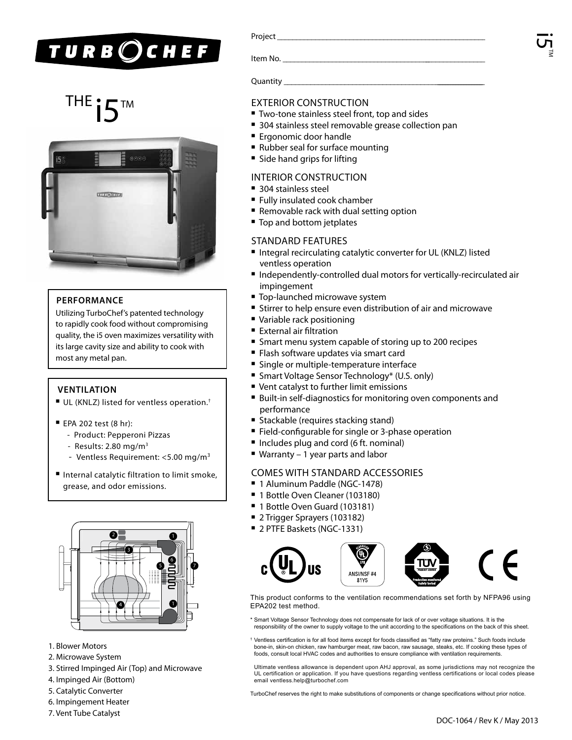## **TURB**OCHEF

# THE  $\bullet$  TM EXTERIOR CONSTRUCTION FOREST TWO-tone stainless steel front, top and sides



#### **PERFORMANCE**

Utilizing TurboChef's patented technology to rapidly cook food without compromising quality, the i5 oven maximizes versatility with its large cavity size and ability to cook with most any metal pan.

#### **VENTILATION**

- $\blacksquare$  UL (KNLZ) listed for ventless operation.<sup>†</sup>
- $\blacksquare$  EPA 202 test (8 hr):
	- Product: Pepperoni Pizzas
	- Results: 2.80 mg/m3
	- Ventless Requirement: <5.00 mg/m<sup>3</sup>
- Internal catalytic filtration to limit smoke, grease, and odor emissions.



- 1. Blower Motors
- 2. Microwave System
- 3. Stirred Impinged Air (Top) and Microwave
- 4. Impinged Air (Bottom)
- 5. Catalytic Converter
- 6. Impingement Heater
- 7. Vent Tube Catalyst

| Project |
|---------|
|---------|

Item No.

Quantity

- 
- 304 stainless steel removable grease collection pan
- **E** Ergonomic door handle
- Rubber seal for surface mounting
- Side hand grips for lifting

#### Interior Construction

- $\blacksquare$  304 stainless steel
- Fully insulated cook chamber
- Removable rack with dual setting option
- Top and bottom jetplates

#### Standard Features

- Integral recirculating catalytic converter for UL (KNLZ) listed ventless operation
- Independently-controlled dual motors for vertically-recirculated air impingement
- Top-launched microwave system
- **Stirrer to help ensure even distribution of air and microwave**
- Variable rack positioning
- External air filtration
- Smart menu system capable of storing up to 200 recipes
- Flash software updates via smart card
- Single or multiple-temperature interface
- Smart Voltage Sensor Technology\* (U.S. only)
- Vent catalyst to further limit emissions
- Built-in self-diagnostics for monitoring oven components and performance
- **Exercise** (requires stacking stand)
- **Field-configurable for single or 3-phase operation**
- Includes plug and cord (6 ft. nominal)
- $\blacksquare$  Warranty 1 year parts and labor

### comes with standard accessories

- 1 Aluminum Paddle (NGC-1478)
- 1 Bottle Oven Cleaner (103180)
- 1 Bottle Oven Guard (103181)
- 2 Trigger Sprayers (103182)
- 2 PTFE Baskets (NGC-1331)





This product conforms to the ventilation recommendations set forth by NFPA96 using EPA202 test method.

- \* Smart Voltage Sensor Technology does not compensate for lack of or over voltage situations. It is the responsibility of the owner to supply voltage to the unit according to the specifications on the back of this sheet.
- † Ventless certification is for all food items except for foods classified as "fatty raw proteins." Such foods include bone-in, skin-on chicken, raw hamburger meat, raw bacon, raw sausage, steaks, etc. If cooking these types of foods, consult local HVAC codes and authorities to ensure compliance with ventilation requirements.

Ultimate ventless allowance is dependent upon AHJ approval, as some jurisdictions may not recognize the UL certification or application. If you have questions regarding ventless certifications or local codes please email ventless.help@turbochef.com

TurboChef reserves the right to make substitutions of components or change specifications without prior notice.